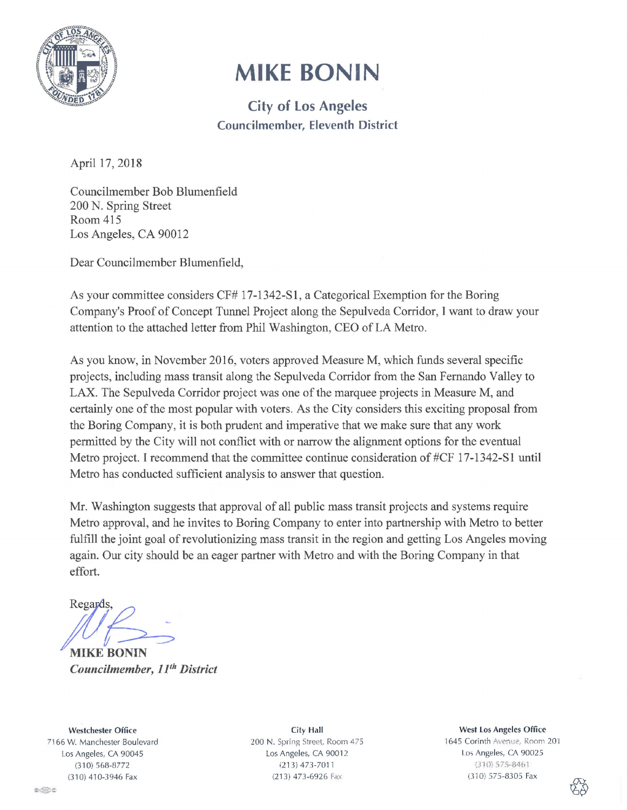

## **MIKE BONIN**

City of Los Angeles Councilmember, Eleventh District

April 17, 2018

Councilmember Bob Blumenfield 200 N. Spring Street Room 415 Los Angeles, CA 90012

Dear Councilmember Blumenfield,

As your committee considers CF# 17-1342-S1, a Categorical Exemption for the Boring Company's Proof of Concept Tunnel Project along the Sepulveda Corridor, I want to draw your attention to the attached letter from Phil Washington, CEO of LA Metro.

As you know, in November 2016, voters approved Measure M, which funds several specific projects, including mass transit along the Sepulveda Corridor from the San Fernando Valley to LAX. The Sepulveda Corridor project was one of the marquee projects in Measure M, and certainly one of the most popular with voters. As the City considers this exciting proposal from the Boring Company, it is both prudent and imperative that we make sure that any work permitted by the City will not conflict with or narrow the alignment options for the eventual Metro project. I recommend that the committee continue consideration of #CF 17-1342-S1 until Metro has conducted sufficient analysis to answer that question.

Mr. Washington suggests that approval of all public mass transit projects and systems require Metro approval, and he invites to Boring Company to enter into partnership with Metro to better fulfill the joint goal of revolutionizing mass transit in the region and getting Los Angeles moving again. Our city should be an eager partner with Metro and with the Boring Company in that effort.

Eards,

*Councilmember, 1 Jlh District* 

Westchester Office 7166 W. Manchester Boulevard Los Angeles, CA 90045 (310) 568-8772 (3 10) 41 0-3946 Fax

City Hall *200* N. Spring Street, Room 475 Los Angeles, CA 90012 (213) 473-7011 (213) 473-6926 Fax

West Los Angeles Office 1645 Corinth Avenue, Room 201 l.o; Angeles, CA 90025  $(310)$  575-8461 (310) 575-8305 Fax